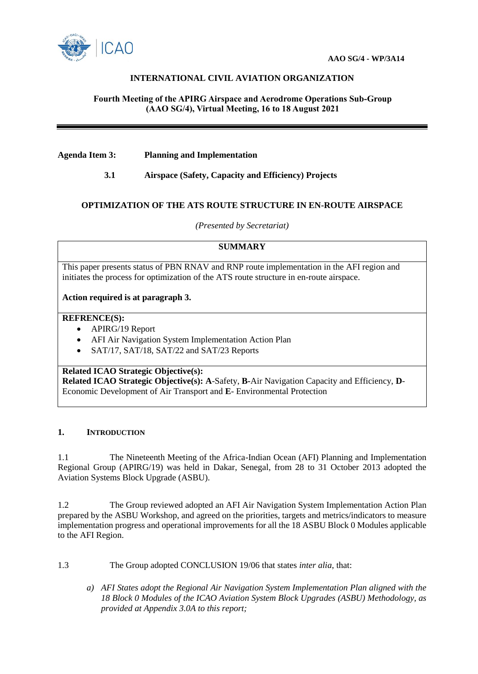

# **INTERNATIONAL CIVIL AVIATION ORGANIZATION**

### **Fourth Meeting of the APIRG Airspace and Aerodrome Operations Sub-Group (AAO SG/4), Virtual Meeting, 16 to 18 August 2021**

**Agenda Item 3: Planning and Implementation**

 **3.1 Airspace (Safety, Capacity and Efficiency) Projects**

### **OPTIMIZATION OF THE ATS ROUTE STRUCTURE IN EN-ROUTE AIRSPACE**

*(Presented by Secretariat)*

## **SUMMARY**

This paper presents status of PBN RNAV and RNP route implementation in the AFI region and initiates the process for optimization of the ATS route structure in en-route airspace.

### **Action required is at paragraph 3.**

### **REFRENCE(S):**

- APIRG/19 Report
- AFI Air Navigation System Implementation Action Plan
- SAT/17, SAT/18, SAT/22 and SAT/23 Reports

#### **Related ICAO Strategic Objective(s):**

**Related ICAO Strategic Objective(s): A**-Safety, **B-**Air Navigation Capacity and Efficiency, **D**-Economic Development of Air Transport and **E**- Environmental Protection

### **1. INTRODUCTION**

1.1 The Nineteenth Meeting of the Africa-Indian Ocean (AFI) Planning and Implementation Regional Group (APIRG/19) was held in Dakar, Senegal, from 28 to 31 October 2013 adopted the Aviation Systems Block Upgrade (ASBU).

1.2 The Group reviewed adopted an AFI Air Navigation System Implementation Action Plan prepared by the ASBU Workshop, and agreed on the priorities, targets and metrics/indicators to measure implementation progress and operational improvements for all the 18 ASBU Block 0 Modules applicable to the AFI Region.

1.3 The Group adopted CONCLUSION 19/06 that states *inter alia*, that:

*a) AFI States adopt the Regional Air Navigation System Implementation Plan aligned with the 18 Block 0 Modules of the ICAO Aviation System Block Upgrades (ASBU) Methodology, as provided at Appendix 3.0A to this report;*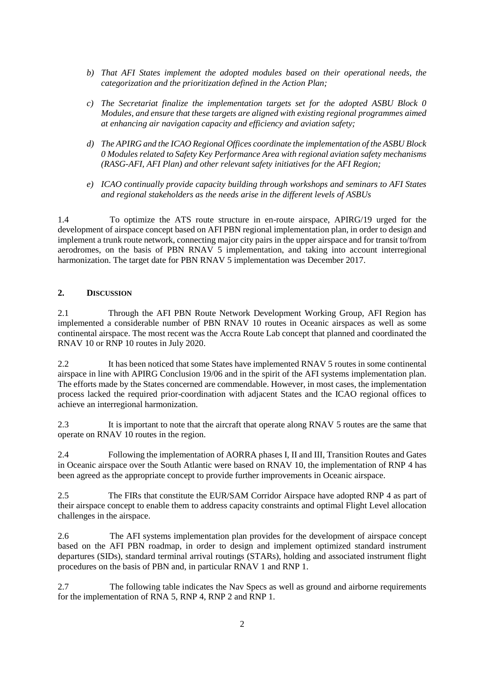- *b) That AFI States implement the adopted modules based on their operational needs, the categorization and the prioritization defined in the Action Plan;*
- *c) The Secretariat finalize the implementation targets set for the adopted ASBU Block 0 Modules, and ensure that these targets are aligned with existing regional programmes aimed at enhancing air navigation capacity and efficiency and aviation safety;*
- *d) The APIRG and the ICAO Regional Offices coordinate the implementation of the ASBU Block 0 Modules related to Safety Key Performance Area with regional aviation safety mechanisms (RASG-AFI, AFI Plan) and other relevant safety initiatives for the AFI Region;*
- *e) ICAO continually provide capacity building through workshops and seminars to AFI States and regional stakeholders as the needs arise in the different levels of ASBUs*

1.4 To optimize the ATS route structure in en-route airspace, APIRG/19 urged for the development of airspace concept based on AFI PBN regional implementation plan, in order to design and implement a trunk route network, connecting major city pairs in the upper airspace and for transit to/from aerodromes, on the basis of PBN RNAV 5 implementation, and taking into account interregional harmonization. The target date for PBN RNAV 5 implementation was December 2017.

### **2. DISCUSSION**

2.1 Through the AFI PBN Route Network Development Working Group, AFI Region has implemented a considerable number of PBN RNAV 10 routes in Oceanic airspaces as well as some continental airspace. The most recent was the Accra Route Lab concept that planned and coordinated the RNAV 10 or RNP 10 routes in July 2020.

2.2 It has been noticed that some States have implemented RNAV 5 routes in some continental airspace in line with APIRG Conclusion 19/06 and in the spirit of the AFI systems implementation plan. The efforts made by the States concerned are commendable. However, in most cases, the implementation process lacked the required prior-coordination with adjacent States and the ICAO regional offices to achieve an interregional harmonization.

2.3 It is important to note that the aircraft that operate along RNAV 5 routes are the same that operate on RNAV 10 routes in the region.

2.4 Following the implementation of AORRA phases I, II and III, Transition Routes and Gates in Oceanic airspace over the South Atlantic were based on RNAV 10, the implementation of RNP 4 has been agreed as the appropriate concept to provide further improvements in Oceanic airspace.

2.5 The FIRs that constitute the EUR/SAM Corridor Airspace have adopted RNP 4 as part of their airspace concept to enable them to address capacity constraints and optimal Flight Level allocation challenges in the airspace.

2.6 The AFI systems implementation plan provides for the development of airspace concept based on the AFI PBN roadmap, in order to design and implement optimized standard instrument departures (SIDs), standard terminal arrival routings (STARs), holding and associated instrument flight procedures on the basis of PBN and, in particular RNAV 1 and RNP 1.

2.7 The following table indicates the Nav Specs as well as ground and airborne requirements for the implementation of RNA 5, RNP 4, RNP 2 and RNP 1.